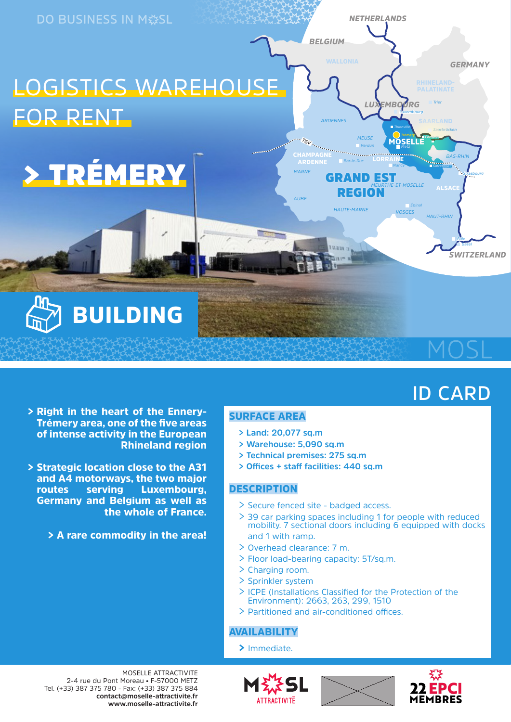

# **ID CARD**

- > Right in the heart of the Ennery-Trémery area, one of the five areas of intense activity in the European Rhineland region
- > Strategic location close to the A31 and A4 motorways, the two major routes serving Luxembourg, Germany and Belgium as well as the whole of France.

> A rare commodity in the area!

#### SURFACE AREA

- **> Land: 20,077 sq.m**
- **> Warehouse: 5,090 sq.m**
- **> Technical premises: 275 sq.m**
- **> Offices + staff facilities: 440 sq.m**

#### **DESCRIPTION**

- > Secure fenced site badged access.
- > 39 car parking spaces including 1 for people with reduced mobility. 7 sectional doors including 6 equipped with docks and 1 with ramp.
- > Overhead clearance: 7 m.
- > Floor load-bearing capacity: 5T/sq.m.
- > Charging room.
- > Sprinkler system
- > ICPE (Installations Classified for the Protection of the Environment): 2663, 263, 299, 1510
- > Partitioned and air-conditioned offices.

#### **AVAILABILITY**

> Immediate.